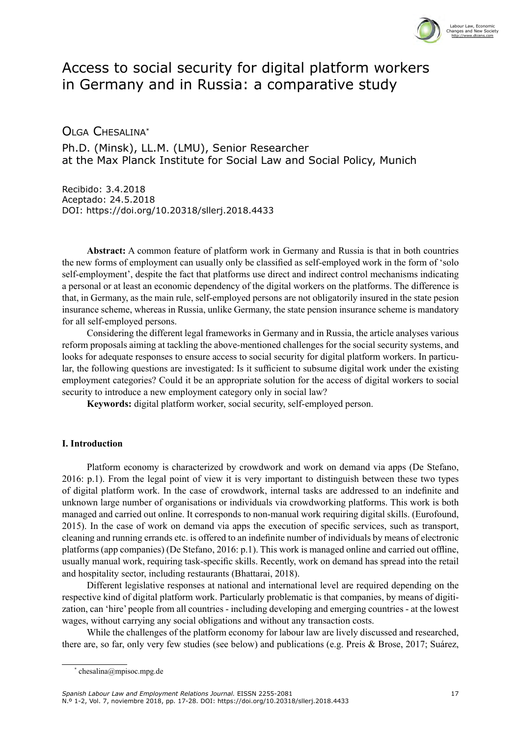

# Access to social security for digital platform workers in Germany and in Russia: a comparative study

Olga Chesalina\* Ph.D. (Minsk), LL.M. (LMU), Senior Researcher at the Max Planck Institute for Social Law and Social Policy, Munich

Recibido: 3.4.2018 Aceptado: 24.5.2018 DOI: <https://doi.org/10.20318/sllerj.2018.4433>

**Abstract:** A common feature of platform work in Germany and Russia is that in both countries the new forms of employment can usually only be classified as self-employed work in the form of 'solo self-employment', despite the fact that platforms use direct and indirect control mechanisms indicating a personal or at least an economic dependency of the digital workers on the platforms. The difference is that, in Germany, as the main rule, self-employed persons are not obligatorily insured in the state pesion insurance scheme, whereas in Russia, unlike Germany, the state pension insurance scheme is mandatory for all self-employed persons.

Considering the different legal frameworks in Germany and in Russia, the article analyses various reform proposals aiming at tackling the above-mentioned challenges for the social security systems, and looks for adequate responses to ensure access to social security for digital platform workers. In particular, the following questions are investigated: Is it sufficient to subsume digital work under the existing employment categories? Could it be an appropriate solution for the access of digital workers to social security to introduce a new employment category only in social law?

**Keywords:** digital platform worker, social security, self-employed person.

## **I. Introduction**

Platform economy is characterized by crowdwork and work on demand via apps (De Stefano, 2016: p.1). From the legal point of view it is very important to distinguish between these two types of digital platform work. In the case of crowdwork, internal tasks are addressed to an indefinite and unknown large number of organisations or individuals via crowdworking platforms. This work is both managed and carried out online. It corresponds to non-manual work requiring digital skills. (Eurofound, 2015). In the case of work on demand via apps the execution of specific services, such as transport, cleaning and running errands etc. is offered to an indefinite number of individuals by means of electronic platforms (app companies) (De Stefano, 2016: p.1). This work is managed online and carried out offline, usually manual work, requiring task-specific skills. Recently, work on demand has spread into the retail and hospitality sector, including restaurants (Bhattarai, 2018).

Different legislative responses at national and international level are required depending on the respective kind of digital platform work. Particularly problematic is that companies, by means of digitization, can 'hire' people from all countries - including developing and emerging countries - at the lowest wages, without carrying any social obligations and without any transaction costs.

While the challenges of the platform economy for labour law are lively discussed and researched, there are, so far, only very few studies (see below) and publications (e.g. Preis & Brose, 2017; Suárez,

<sup>\*</sup> chesalina@mpisoc.mpg.de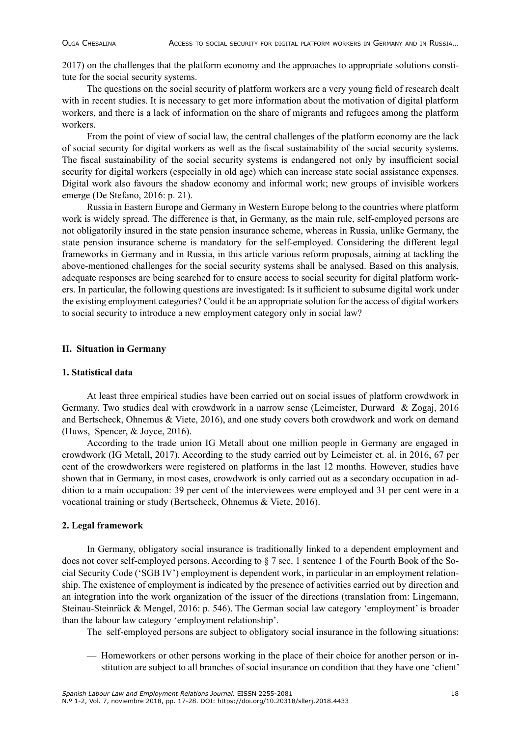2017) on the challenges that the platform economy and the approaches to appropriate solutions constitute for the social security systems.

The questions on the social security of platform workers are a very young field of research dealt with in recent studies. It is necessary to get more information about the motivation of digital platform workers, and there is a lack of information on the share of migrants and refugees among the platform workers.

From the point of view of social law, the central challenges of the platform economy are the lack of social security for digital workers as well as the fiscal sustainability of the social security systems. The fiscal sustainability of the social security systems is endangered not only by insufficient social security for digital workers (especially in old age) which can increase state social assistance expenses. Digital work also favours the shadow economy and informal work; new groups of invisible workers emerge (De Stefano, 2016: p. 21).

Russia in Eastern Europe and Germany in Western Europe belong to the countries where platform work is widely spread. The difference is that, in Germany, as the main rule, self-employed persons are not obligatorily insured in the state pension insurance scheme, whereas in Russia, unlike Germany, the state pension insurance scheme is mandatory for the self-employed. Considering the different legal frameworks in Germany and in Russia, in this article various reform proposals, aiming at tackling the above-mentioned challenges for the social security systems shall be analysed. Based on this analysis, adequate responses are being searched for to ensure access to social security for digital platform workers. In particular, the following questions are investigated: Is it sufficient to subsume digital work under the existing employment categories? Could it be an appropriate solution for the access of digital workers to social security to introduce a new employment category only in social law?

## **II. Situation in Germany**

## **1. Statistical data**

At least three empirical studies have been carried out on social issues of platform crowdwork in Germany. Two studies deal with crowdwork in a narrow sense (Leimeister, Durward & Zogaj, 2016 and Bertscheck, Ohnemus & Viete, 2016), and one study covers both crowdwork and work on demand (Huws, Spencer, & Joyce, 2016).

According to the trade union IG Metall about one million people in Germany are engaged in crowdwork (IG Metall, 2017). According to the study carried out by Leimeister et. al. in 2016, 67 per cent of the crowdworkers were registered on platforms in the last 12 months. However, studies have shown that in Germany, in most cases, crowdwork is only carried out as a secondary occupation in addition to a main occupation: 39 per cent of the interviewees were employed and 31 per cent were in a vocational training or study (Bertscheck, Ohnemus & Viete, 2016).

#### **2. Legal framework**

In Germany, obligatory social insurance is traditionally linked to a dependent employment and does not cover self-employed persons. According to § 7 sec. 1 sentence 1 of the Fourth Book of the Social Security Code ('SGB IV') employment is dependent work, in particular in an employment relationship. The existence of employment is indicated by the presence of activities carried out by direction and an integration into the work organization of the issuer of the directions (translation from: Lingemann, Steinau-Steinrück & Mengel, 2016: p. 546). The German social law category 'employment' is broader than the labour law category 'employment relationship'.

The self-employed persons are subject to obligatory social insurance in the following situations:

— Homeworkers or other persons working in the place of their choice for another person or institution are subject to all branches of social insurance on condition that they have one 'client'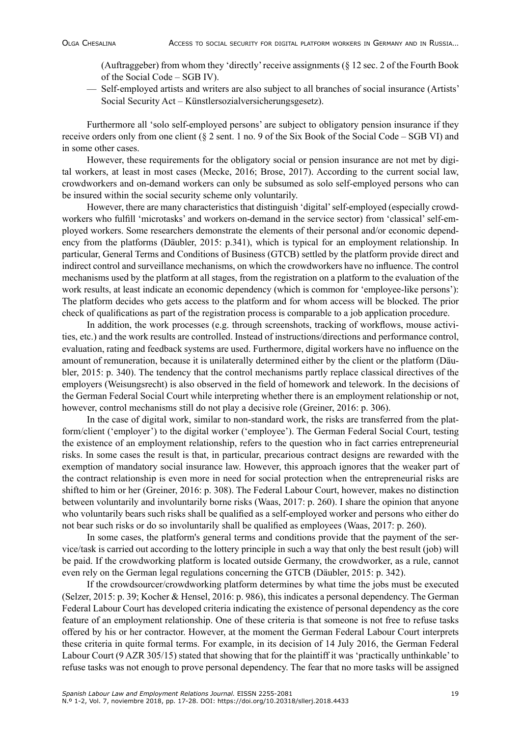(Auftraggeber) from whom they 'directly' receive assignments (§ 12 sec. 2 of the Fourth Book of the Social Code – SGB IV).

— Self-employed artists and writers are also subject to all branches of social insurance (Artists' Social Security Act – Künstlersozialversicherungsgesetz).

Furthermore all 'solo self-employed persons' are subject to obligatory pension insurance if they receive orders only from one client (§ 2 sent. 1 no. 9 of the Six Book of the Social Code – SGB VI) and in some other cases.

However, these requirements for the obligatory social or pension insurance are not met by digital workers, at least in most cases (Mecke, 2016; Brose, 2017). According to the current social law, crowdworkers and on-demand workers can only be subsumed as solo self-employed persons who can be insured within the social security scheme only voluntarily.

However, there are many characteristics that distinguish 'digital' self-employed (especially crowdworkers who fulfill 'microtasks' and workers on-demand in the service sector) from 'classical' self-employed workers. Some researchers demonstrate the elements of their personal and/or economic dependency from the platforms (Däubler, 2015: p.341), which is typical for an employment relationship. In particular, General Terms and Conditions of Business (GTCB) settled by the platform provide direct and indirect control and surveillance mechanisms, on which the crowdworkers have no influence. The control mechanisms used by the platform at all stages, from the registration on a platform to the evaluation of the work results, at least indicate an economic dependency (which is common for 'employee-like persons'): The platform decides who gets access to the platform and for whom access will be blocked. The prior check of qualifications as part of the registration process is comparable to a job application procedure.

In addition, the work processes (e.g. through screenshots, tracking of workflows, mouse activities, etc.) and the work results are controlled. Instead of instructions/directions and performance control, evaluation, rating and feedback systems are used. Furthermore, digital workers have no influence on the amount of remuneration, because it is unilaterally determined either by the client or the platform (Däubler, 2015: p. 340). The tendency that the control mechanisms partly replace classical directives of the employers (Weisungsrecht) is also observed in the field of homework and telework. In the decisions of the German Federal Social Court while interpreting whether there is an employment relationship or not, however, control mechanisms still do not play a decisive role (Greiner, 2016: p. 306).

In the case of digital work, similar to non-standard work, the risks are transferred from the platform/client ('employer') to the digital worker ('employee'). The German Federal Social Court, testing the existence of an employment relationship, refers to the question who in fact carries entrepreneurial risks. In some cases the result is that, in particular, precarious contract designs are rewarded with the exemption of mandatory social insurance law. However, this approach ignores that the weaker part of the contract relationship is even more in need for social protection when the entrepreneurial risks are shifted to him or her (Greiner, 2016: p. 308). The Federal Labour Court, however, makes no distinction between voluntarily and involuntarily borne risks (Waas, 2017: p. 260). I share the opinion that anyone who voluntarily bears such risks shall be qualified as a self-employed worker and persons who either do not bear such risks or do so involuntarily shall be qualified as employees (Waas, 2017: p. 260).

In some cases, the platform's general terms and conditions provide that the payment of the service/task is carried out according to the lottery principle in such a way that only the best result (job) will be paid. If the crowdworking platform is located outside Germany, the crowdworker, as a rule, cannot even rely on the German legal regulations concerning the GTCB (Däubler, 2015: p. 342).

If the crowdsourcer/crowdworking platform determines by what time the jobs must be executed (Selzer, 2015: p. 39; Kocher & Hensel, 2016: p. 986), this indicates a personal dependency. The German Federal Labour Court has developed criteria indicating the existence of personal dependency as the core feature of an employment relationship. One of these criteria is that someone is not free to refuse tasks offered by his or her contractor. However, at the moment the German Federal Labour Court interprets these criteria in quite formal terms. For example, in its decision of 14 July 2016, the German Federal Labour Court (9 AZR 305/15) stated that showing that for the plaintiff it was 'practically unthinkable' to refuse tasks was not enough to prove personal dependency. The fear that no more tasks will be assigned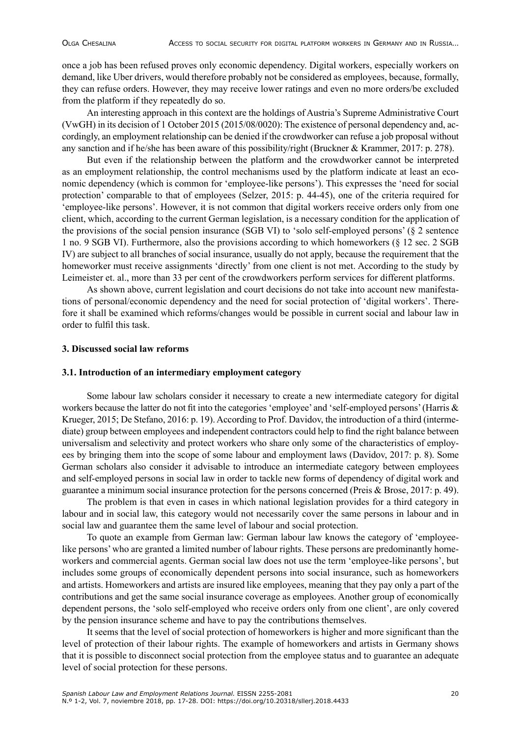once a job has been refused proves only economic dependency. Digital workers, especially workers on demand, like Uber drivers, would therefore probably not be considered as employees, because, formally, they can refuse orders. However, they may receive lower ratings and even no more orders/be excluded from the platform if they repeatedly do so.

An interesting approach in this context are the holdings of Austria's Supreme Administrative Court (VwGH) in its decision of 1 October 2015 (2015/08/0020): The existence of personal dependency and, accordingly, an employment relationship can be denied if the crowdworker can refuse a job proposal without any sanction and if he/she has been aware of this possibility/right (Bruckner & Krammer, 2017: p. 278).

But even if the relationship between the platform and the crowdworker cannot be interpreted as an employment relationship, the control mechanisms used by the platform indicate at least an economic dependency (which is common for 'employee-like persons'). This expresses the 'need for social protection' comparable to that of employees (Selzer, 2015: p. 44-45), one of the criteria required for 'employee-like persons'. However, it is not common that digital workers receive orders only from one client, which, according to the current German legislation, is a necessary condition for the application of the provisions of the social pension insurance (SGB VI) to 'solo self-employed persons' (§ 2 sentence 1 no. 9 SGB VI). Furthermore, also the provisions according to which homeworkers (§ 12 sec. 2 SGB IV) are subject to all branches of social insurance, usually do not apply, because the requirement that the homeworker must receive assignments 'directly' from one client is not met. According to the study by Leimeister et. al., more than 33 per cent of the crowdworkers perform services for different platforms.

As shown above, current legislation and court decisions do not take into account new manifestations of personal/economic dependency and the need for social protection of 'digital workers'. Therefore it shall be examined which reforms/changes would be possible in current social and labour law in order to fulfil this task.

## **3. Discussed social law reforms**

#### **3.1. Introduction of an intermediary employment category**

Some labour law scholars consider it necessary to create a new intermediate category for digital workers because the latter do not fit into the categories 'employee' and 'self-employed persons' (Harris & Krueger, 2015; De Stefano, 2016: p. 19). According to Prof. Davidov, the introduction of a third (intermediate) group between employees and independent contractors could help to find the right balance between universalism and selectivity and protect workers who share only some of the characteristics of employees by bringing them into the scope of some labour and employment laws (Davidov, 2017: p. 8). Some German scholars also consider it advisable to introduce an intermediate category between employees and self-employed persons in social law in order to tackle new forms of dependency of digital work and guarantee a minimum social insurance protection for the persons concerned (Preis & Brose, 2017: p. 49).

The problem is that even in cases in which national legislation provides for a third category in labour and in social law, this category would not necessarily cover the same persons in labour and in social law and guarantee them the same level of labour and social protection.

To quote an example from German law: German labour law knows the category of 'employeelike persons' who are granted a limited number of labour rights. These persons are predominantly homeworkers and commercial agents. German social law does not use the term 'employee-like persons', but includes some groups of economically dependent persons into social insurance, such as homeworkers and artists. Homeworkers and artists are insured like employees, meaning that they pay only a part of the contributions and get the same social insurance coverage as employees. Another group of economically dependent persons, the 'solo self-employed who receive orders only from one client', are only covered by the pension insurance scheme and have to pay the contributions themselves.

It seems that the level of social protection of homeworkers is higher and more significant than the level of protection of their labour rights. The example of homeworkers and artists in Germany shows that it is possible to disconnect social protection from the employee status and to guarantee an adequate level of social protection for these persons.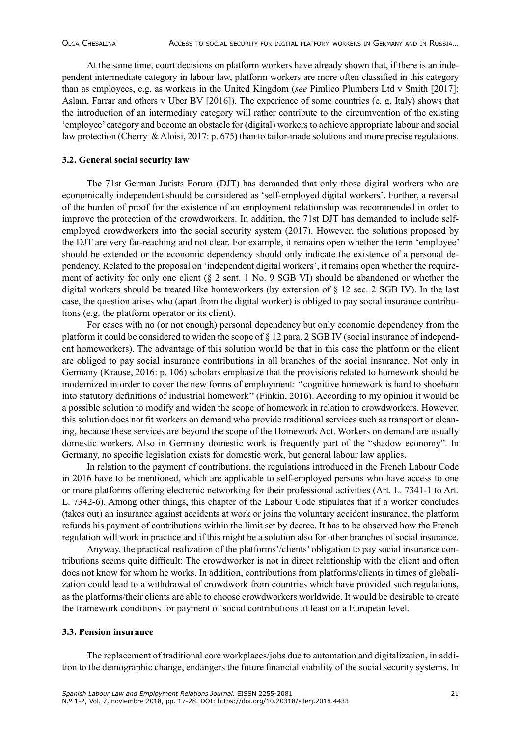At the same time, court decisions on platform workers have already shown that, if there is an independent intermediate category in labour law, platform workers are more often classified in this category than as employees, e.g. as workers in the United Kingdom (*see* Pimlico Plumbers Ltd v Smith [2017]; Aslam, Farrar and others v Uber BV [2016]). The experience of some countries (e. g. Italy) shows that the introduction of an intermediary category will rather contribute to the circumvention of the existing 'employee' category and become an obstacle for (digital) workers to achieve appropriate labour and social law protection (Cherry & Aloisi, 2017: p. 675) than to tailor-made solutions and more precise regulations.

#### **3.2. General social security law**

The 71st German Jurists Forum (DJT) has demanded that only those digital workers who are economically independent should be considered as 'self-employed digital workers'. Further, a reversal of the burden of proof for the existence of an employment relationship was recommended in order to improve the protection of the crowdworkers. In addition, the 71st DJT has demanded to include selfemployed crowdworkers into the social security system (2017). However, the solutions proposed by the DJT are very far-reaching and not clear. For example, it remains open whether the term 'employee' should be extended or the economic dependency should only indicate the existence of a personal dependency. Related to the proposal on 'independent digital workers', it remains open whether the requirement of activity for only one client (§ 2 sent. 1 No. 9 SGB VI) should be abandoned or whether the digital workers should be treated like homeworkers (by extension of § 12 sec. 2 SGB IV). In the last case, the question arises who (apart from the digital worker) is obliged to pay social insurance contributions (e.g. the platform operator or its client).

For cases with no (or not enough) personal dependency but only economic dependency from the platform it could be considered to widen the scope of § 12 para. 2 SGB IV (social insurance of independent homeworkers). The advantage of this solution would be that in this case the platform or the client are obliged to pay social insurance contributions in all branches of the social insurance. Not only in Germany (Krause, 2016: p. 106) scholars emphasize that the provisions related to homework should be modernized in order to cover the new forms of employment: ''cognitive homework is hard to shoehorn into statutory definitions of industrial homework'' (Finkin, 2016). According to my opinion it would be a possible solution to modify and widen the scope of homework in relation to crowdworkers. However, this solution does not fit workers on demand who provide traditional services such as transport or cleaning, because these services are beyond the scope of the Homework Act. Workers on demand are usually domestic workers. Also in Germany domestic work is frequently part of the "shadow economy". In Germany, no specific legislation exists for domestic work, but general labour law applies.

In relation to the payment of contributions, the regulations introduced in the French Labour Code in 2016 have to be mentioned, which are applicable to self-employed persons who have access to one or more platforms offering electronic networking for their professional activities (Art. L. 7341-1 to Art. L. 7342-6). Among other things, this chapter of the Labour Code stipulates that if a worker concludes (takes out) an insurance against accidents at work or joins the voluntary accident insurance, the platform refunds his payment of contributions within the limit set by decree. It has to be observed how the French regulation will work in practice and if this might be a solution also for other branches of social insurance.

Anyway, the practical realization of the platforms'/clients' obligation to pay social insurance contributions seems quite difficult: The crowdworker is not in direct relationship with the client and often does not know for whom he works. In addition, contributions from platforms/clients in times of globalization could lead to a withdrawal of crowdwork from countries which have provided such regulations, as the platforms/their clients are able to choose crowdworkers worldwide. It would be desirable to create the framework conditions for payment of social contributions at least on a European level.

## **3.3. Pension insurance**

The replacement of traditional core workplaces/jobs due to automation and digitalization, in addition to the demographic change, endangers the future financial viability of the social security systems. In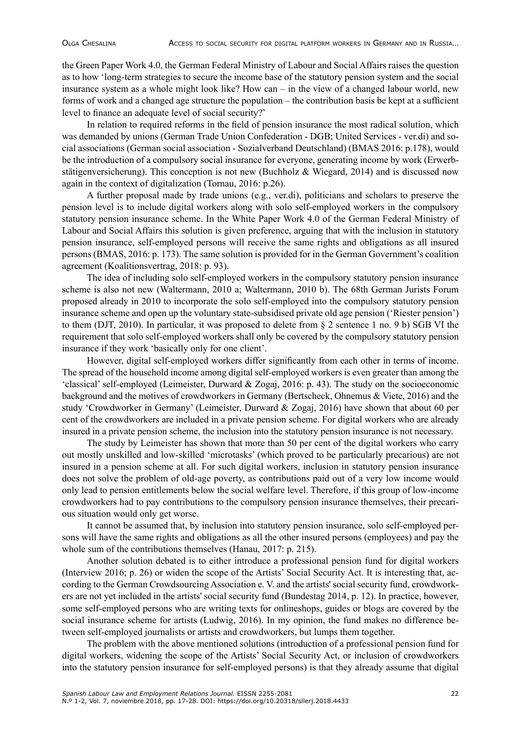the Green Paper Work 4.0, the German Federal Ministry of Labour and Social Affairs raises the question as to how 'long-term strategies to secure the income base of the statutory pension system and the social insurance system as a whole might look like? How can – in the view of a changed labour world, new forms of work and a changed age structure the population – the contribution basis be kept at a sufficient level to finance an adequate level of social security?'

In relation to required reforms in the field of pension insurance the most radical solution, which was demanded by unions (German Trade Union Confederation - DGB; United Services - ver.di) and social associations (German social association - Sozialverband Deutschland) (BMAS 2016: p.178), would be the introduction of a compulsory social insurance for everyone, generating income by work (Erwerbstätigenversicherung). This conception is not new (Buchholz & Wiegard, 2014) and is discussed now again in the context of digitalization (Tornau, 2016: p.26).

A further proposal made by trade unions (e.g., ver.di), politicians and scholars to preserve the pension level is to include digital workers along with solo self-employed workers in the compulsory statutory pension insurance scheme. In the White Paper Work 4.0 of the German Federal Ministry of Labour and Social Affairs this solution is given preference, arguing that with the inclusion in statutory pension insurance, self-employed persons will receive the same rights and obligations as all insured persons (BMAS, 2016: p. 173). The same solution is provided for in the German Government's coalition agreement (Koalitionsvertrag, 2018: p. 93).

The idea of including solo self-employed workers in the compulsory statutory pension insurance scheme is also not new (Waltermann, 2010 a; Waltermann, 2010 b). The 68th German Jurists Forum proposed already in 2010 to incorporate the solo self-employed into the compulsory statutory pension insurance scheme and open up the voluntary state-subsidised private old age pension ('Riester pension') to them (DJT, 2010). In particular, it was proposed to delete from § 2 sentence 1 no. 9 b) SGB VI the requirement that solo self-employed workers shall only be covered by the compulsory statutory pension insurance if they work 'basically only for one client'.

However, digital self-employed workers differ significantly from each other in terms of income. The spread of the household income among digital self-employed workers is even greater than among the 'classical' self-employed (Leimeister, Durward & Zogaj, 2016: p. 43). The study on the socioeconomic background and the motives of crowdworkers in Germany (Bertscheck, Ohnemus & Viete, 2016) and the study 'Crowdworker in Germany' (Leimeister, Durward & Zogaj, 2016) have shown that about 60 per cent of the crowdworkers are included in a private pension scheme. For digital workers who are already insured in a private pension scheme, the inclusion into the statutory pension insurance is not necessary.

The study by Leimeister has shown that more than 50 per cent of the digital workers who carry out mostly unskilled and low-skilled 'microtasks' (which proved to be particularly precarious) are not insured in a pension scheme at all. For such digital workers, inclusion in statutory pension insurance does not solve the problem of old-age poverty, as contributions paid out of a very low income would only lead to pension entitlements below the social welfare level. Therefore, if this group of low-income crowdworkers had to pay contributions to the compulsory pension insurance themselves, their precarious situation would only get worse.

It cannot be assumed that, by inclusion into statutory pension insurance, solo self-employed persons will have the same rights and obligations as all the other insured persons (employees) and pay the whole sum of the contributions themselves (Hanau, 2017: p. 215).

Another solution debated is to either introduce a professional pension fund for digital workers (Interview 2016; p. 26) or widen the scope of the Artists' Social Security Act. It is interesting that, according to the German Crowdsourcing Association e. V. and the artists' social security fund, crowdworkers are not yet included in the artists' social security fund (Bundestag 2014, p. 12). In practice, however, some self-employed persons who are writing texts for onlineshops, guides or blogs are covered by the social insurance scheme for artists (Ludwig, 2016). In my opinion, the fund makes no difference between self-employed journalists or artists and crowdworkers, but lumps them together.

The problem with the above mentioned solutions (introduction of a professional pension fund for digital workers, widening the scope of the Artists' Social Security Act, or inclusion of crowdworkers into the statutory pension insurance for self-employed persons) is that they already assume that digital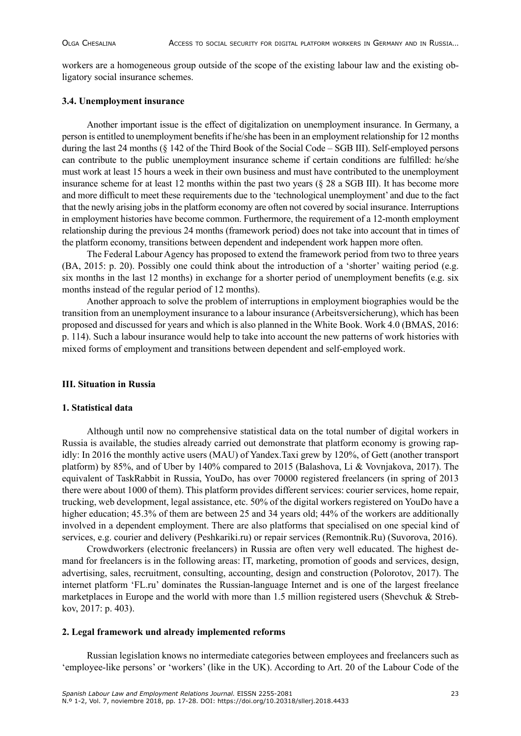workers are a homogeneous group outside of the scope of the existing labour law and the existing obligatory social insurance schemes.

## **3.4. Unemployment insurance**

Another important issue is the effect of digitalization on unemployment insurance. In Germany, a person is entitled to unemployment benefits if he/she has been in an employment relationship for 12 months during the last 24 months (§ 142 of the Third Book of the Social Code – SGB III). Self-employed persons can contribute to the public unemployment insurance scheme if certain conditions are fulfilled: he/she must work at least 15 hours a week in their own business and must have contributed to the unemployment insurance scheme for at least 12 months within the past two years (§ 28 a SGB III). It has become more and more difficult to meet these requirements due to the 'technological unemployment' and due to the fact that the newly arising jobs in the platform economy are often not covered by social insurance. Interruptions in employment histories have become common. Furthermore, the requirement of a 12-month employment relationship during the previous 24 months (framework period) does not take into account that in times of the platform economy, transitions between dependent and independent work happen more often.

The Federal Labour Agency has proposed to extend the framework period from two to three years (BA, 2015: p. 20). Possibly one could think about the introduction of a 'shorter' waiting period (e.g. six months in the last 12 months) in exchange for a shorter period of unemployment benefits (e.g. six months instead of the regular period of 12 months).

Another approach to solve the problem of interruptions in employment biographies would be the transition from an unemployment insurance to a labour insurance (Arbeitsversicherung), which has been proposed and discussed for years and which is also planned in the White Book. Work 4.0 (BMAS, 2016: p. 114). Such a labour insurance would help to take into account the new patterns of work histories with mixed forms of employment and transitions between dependent and self-employed work.

#### **III. Situation in Russia**

## **1. Statistical data**

Although until now no comprehensive statistical data on the total number of digital workers in Russia is available, the studies already carried out demonstrate that platform economy is growing rapidly: In 2016 the monthly active users (MAU) of Yandex.Taxi grew by 120%, of Gett (another transport platform) by 85%, and of Uber by 140% compared to 2015 (Balashova, Li & Vovnjakova, 2017). The equivalent of TaskRabbit in Russia, YouDo, has over 70000 registered freelancers (in spring of 2013 there were about 1000 of them). This platform provides different services: courier services, home repair, trucking, web development, legal assistance, etc. 50% of the digital workers registered on YouDo have a higher education; 45.3% of them are between 25 and 34 years old; 44% of the workers are additionally involved in a dependent employment. There are also platforms that specialised on one special kind of services, e.g. courier and delivery (Peshkariki.ru) or repair services (Remontnik.Ru) (Suvorova, 2016).

Crowdworkers (electronic freelancers) in Russia are often very well educated. The highest demand for freelancers is in the following areas: IT, marketing, promotion of goods and services, design, advertising, sales, recruitment, consulting, accounting, design and construction (Polorotov, 2017). The internet platform 'FL.ru' dominates the Russian-language Internet and is one of the largest freelance marketplaces in Europe and the world with more than 1.5 million registered users (Shevchuk & Strebkov, 2017: p. 403).

#### **2. Legal framework und already implemented reforms**

Russian legislation knows no intermediate categories between employees and freelancers such as 'employee-like persons' or 'workers' (like in the UK). According to Art. 20 of the Labour Code of the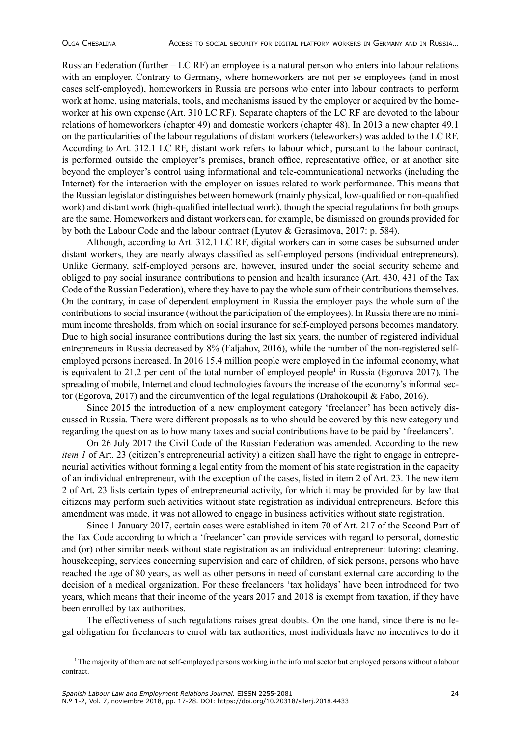Russian Federation (further – LC RF) an employee is a natural person who enters into labour relations with an employer. Contrary to Germany, where homeworkers are not per se employees (and in most cases self-employed), homeworkers in Russia are persons who enter into labour contracts to perform work at home, using materials, tools, and mechanisms issued by the employer or acquired by the homeworker at his own expense (Art. 310 LC RF). Separate chapters of the LC RF are devoted to the labour relations of homeworkers (chapter 49) and domestic workers (chapter 48). In 2013 a new chapter 49.1 on the particularities of the labour regulations of distant workers (teleworkers) was added to the LC RF. According to Art. 312.1 LC RF, distant work refers to labour which, pursuant to the labour contract, is performed outside the employer's premises, branch office, representative office, or at another site beyond the employer's control using informational and tele-communicational networks (including the Internet) for the interaction with the employer on issues related to work performance. This means that the Russian legislator distinguishes between homework (mainly physical, low-qualified or non-qualified work) and distant work (high-qualified intellectual work), though the special regulations for both groups are the same. Homeworkers and distant workers can, for example, be dismissed on grounds provided for by both the Labour Code and the labour contract (Lyutov & Gerasimova, 2017: p. 584).

Although, according to Art. 312.1 LC RF, digital workers can in some cases be subsumed under distant workers, they are nearly always classified as self-employed persons (individual entrepreneurs). Unlike Germany, self-employed persons are, however, insured under the social security scheme and obliged to pay social insurance contributions to pension and health insurance (Art. 430, 431 of the Tax Code of the Russian Federation), where they have to pay the whole sum of their contributions themselves. On the contrary, in case of dependent employment in Russia the employer pays the whole sum of the contributions to social insurance (without the participation of the employees). In Russia there are no minimum income thresholds, from which on social insurance for self-employed persons becomes mandatory. Due to high social insurance contributions during the last six years, the number of registered individual entrepreneurs in Russia decreased by 8% (Faljahov, 2016), while the number of the non-registered selfemployed persons increased. In 2016 15.4 million people were employed in the informal economy, what is equivalent to 21.2 per cent of the total number of employed people<sup>1</sup> in Russia (Egorova 2017). The spreading of mobile, Internet and cloud technologies favours the increase of the economy's informal sector (Egorova, 2017) and the circumvention of the legal regulations (Drahokoupil & Fabo, 2016).

Since 2015 the introduction of a new employment category 'freelancer' has been actively discussed in Russia. There were different proposals as to who should be covered by this new category und regarding the question as to how many taxes and social contributions have to be paid by 'freelancers'.

On 26 July 2017 the Civil Code of the Russian Federation was amended. According to the new *item 1* of Art. 23 (citizen's entrepreneurial activity) a citizen shall have the right to engage in entrepreneurial activities without forming a legal entity from the moment of his state registration in the capacity of an individual entrepreneur, with the exception of the cases, listed in item 2 of Art. 23. The new item 2 of Art. 23 lists certain types of entrepreneurial activity, for which it may be provided for by law that citizens may perform such activities without state registration as individual entrepreneurs. Before this amendment was made, it was not allowed to engage in business activities without state registration.

Since 1 January 2017, certain cases were established in item 70 of Art. 217 of the Second Part of the Tax Code according to which a 'freelancer' can provide services with regard to personal, domestic and (or) other similar needs without state registration as an individual entrepreneur: tutoring; cleaning, housekeeping, services concerning supervision and care of children, of sick persons, persons who have reached the age of 80 years, as well as other persons in need of constant external care according to the decision of a medical organization. For these freelancers 'tax holidays' have been introduced for two years, which means that their income of the years 2017 and 2018 is exempt from taxation, if they have been enrolled by tax authorities.

The effectiveness of such regulations raises great doubts. On the one hand, since there is no legal obligation for freelancers to enrol with tax authorities, most individuals have no incentives to do it

<sup>1</sup> The majority of them are not self-employed persons working in the informal sector but employed persons without a labour contract.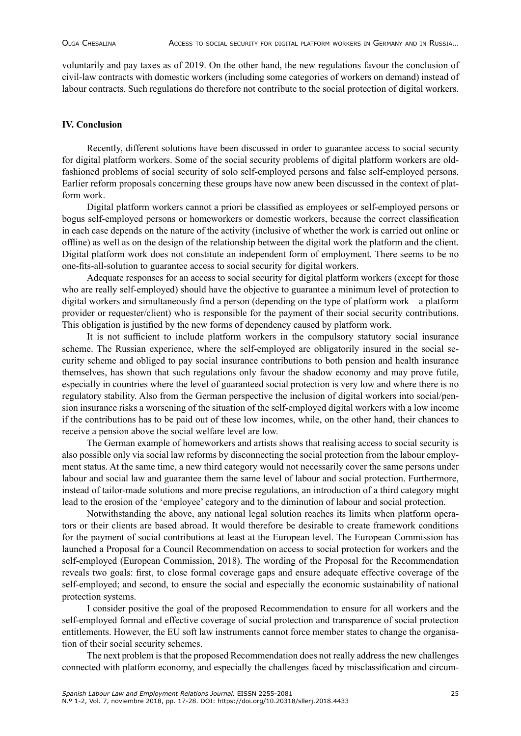voluntarily and pay taxes as of 2019. On the other hand, the new regulations favour the conclusion of civil-law contracts with domestic workers (including some categories of workers on demand) instead of labour contracts. Such regulations do therefore not contribute to the social protection of digital workers.

# **IV. Conclusion**

Recently, different solutions have been discussed in order to guarantee access to social security for digital platform workers. Some of the social security problems of digital platform workers are oldfashioned problems of social security of solo self-employed persons and false self-employed persons. Earlier reform proposals concerning these groups have now anew been discussed in the context of platform work.

Digital platform workers cannot a priori be classified as employees or self-employed persons or bogus self-employed persons or homeworkers or domestic workers, because the correct classification in each case depends on the nature of the activity (inclusive of whether the work is carried out online or offline) as well as on the design of the relationship between the digital work the platform and the client. Digital platform work does not constitute an independent form of employment. There seems to be no one-fits-all-solution to guarantee access to social security for digital workers.

Adequate responses for an access to social security for digital platform workers (except for those who are really self-employed) should have the objective to guarantee a minimum level of protection to digital workers and simultaneously find a person (depending on the type of platform work – a platform provider or requester/client) who is responsible for the payment of their social security contributions. This obligation is justified by the new forms of dependency caused by platform work.

It is not sufficient to include platform workers in the compulsory statutory social insurance scheme. The Russian experience, where the self-employed are obligatorily insured in the social security scheme and obliged to pay social insurance contributions to both pension and health insurance themselves, has shown that such regulations only favour the shadow economy and may prove futile, especially in countries where the level of guaranteed social protection is very low and where there is no regulatory stability. Also from the German perspective the inclusion of digital workers into social/pension insurance risks a worsening of the situation of the self-employed digital workers with a low income if the contributions has to be paid out of these low incomes, while, on the other hand, their chances to receive a pension above the social welfare level are low.

The German example of homeworkers and artists shows that realising access to social security is also possible only via social law reforms by disconnecting the social protection from the labour employment status. At the same time, a new third category would not necessarily cover the same persons under labour and social law and guarantee them the same level of labour and social protection. Furthermore, instead of tailor-made solutions and more precise regulations, an introduction of a third category might lead to the erosion of the 'employee' category and to the diminution of labour and social protection.

Notwithstanding the above, any national legal solution reaches its limits when platform operators or their clients are based abroad. It would therefore be desirable to create framework conditions for the payment of social contributions at least at the European level. The European Commission has launched a Proposal for a Council Recommendation on access to social protection for workers and the self-employed (European Commission, 2018). The wording of the Proposal for the Recommendation reveals two goals: first, to close formal coverage gaps and ensure adequate effective coverage of the self-employed; and second, to ensure the social and especially the economic sustainability of national protection systems.

I consider positive the goal of the proposed Recommendation to ensure for all workers and the self-employed formal and effective coverage of social protection and transparence of social protection entitlements. However, the EU soft law instruments cannot force member states to change the organisation of their social security schemes.

The next problem is that the proposed Recommendation does not really address the new challenges connected with platform economy, and especially the challenges faced by misclassification and circum-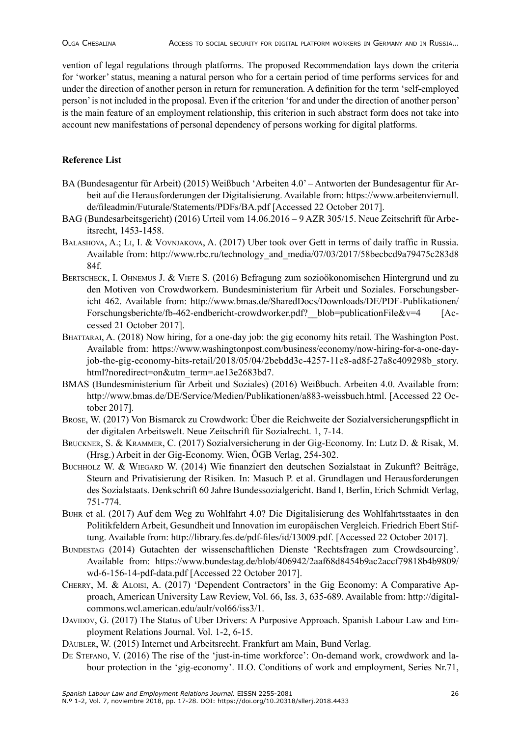vention of legal regulations through platforms. The proposed Recommendation lays down the criteria for 'worker' status, meaning a natural person who for a certain period of time performs services for and under the direction of another person in return for remuneration. A definition for the term 'self-employed person' is not included in the proposal. Even if the criterion 'for and under the direction of another person' is the main feature of an employment relationship, this criterion in such abstract form does not take into account new manifestations of personal dependency of persons working for digital platforms.

# **Reference List**

- BA (Bundesagentur für Arbeit) (2015) Weißbuch 'Arbeiten 4.0' Antworten der Bundesagentur für Arbeit auf die Herausforderungen der Digitalisierung. Available from: https://www.arbeitenviernull. de/fileadmin/Futurale/Statements/PDFs/BA.pdf [Accessed 22 October 2017].
- BAG (Bundesarbeitsgericht) (2016) Urteil vom 14.06.2016 9 AZR 305/15. Neue Zeitschrift für Arbeitsrecht, 1453-1458.
- Balashova, A.; Li, I. & Vovnjakova, A. (2017) Uber took over Gett in terms of daily traffic in Russia. Available from: http://www.rbc.ru/technology\_and\_media/07/03/2017/58becbcd9a79475c283d8 84f.
- BERTSCHECK, I. OHNEMUS J. & VIETE S. (2016) Befragung zum sozioökonomischen Hintergrund und zu den Motiven von Crowdworkern. Bundesministerium für Arbeit und Soziales. Forschungsbericht 462. Available from: http://www.bmas.de/SharedDocs/Downloads/DE/PDF-Publikationen/ Forschungsberichte/fb-462-endbericht-crowdworker.pdf? blob=publicationFile&v=4 [Accessed 21 October 2017].
- BHATTARAI, A. (2018) Now hiring, for a one-day job: the gig economy hits retail. The Washington Post. Available from: https://www.washingtonpost.com/business/economy/now-hiring-for-a-one-dayjob-the-gig-economy-hits-retail/2018/05/04/2bebdd3c-4257-11e8-ad8f-27a8c409298b\_story. html?noredirect=on&utm\_term=.ae13e2683bd7.
- BMAS (Bundesministerium für Arbeit und Soziales) (2016) Weißbuch. Arbeiten 4.0. Available from: http://www.bmas.de/DE/Service/Medien/Publikationen/a883-weissbuch.html. [Accessed 22 October 2017].
- Brose, W. (2017) Von Bismarck zu Crowdwork: Über die Reichweite der Sozialversicherungspflicht in der digitalen Arbeitswelt. Neue Zeitschrift für Sozialrecht. 1, 7-14.
- Bruckner, S. & Krammer, C. (2017) Sozialversicherung in der Gig-Economy. In: Lutz D. & Risak, M. (Hrsg.) Arbeit in der Gig-Economy. Wien, ÖGB Verlag, 254-302.
- Buchholz W. & Wiegard W. (2014) Wie finanziert den deutschen Sozialstaat in Zukunft? Beiträge, Steurn and Privatisierung der Risiken. In: Masuch P. et al. Grundlagen und Herausforderungen des Sozialstaats. Denkschrift 60 Jahre Bundessozialgericht. Band I, Berlin, Erich Schmidt Verlag, 751-774.
- Buhr et al. (2017) Auf dem Weg zu Wohlfahrt 4.0? Die Digitalisierung des Wohlfahrtsstaates in den Politikfeldern Arbeit, Gesundheit und Innovation im europäischen Vergleich. Friedrich Ebert Stiftung. Available from: http://library.fes.de/pdf-files/id/13009.pdf. [Accessed 22 October 2017].
- Bundestag (2014) Gutachten der wissenschaftlichen Dienste 'Rechtsfragen zum Crowdsourcing'. Available from: https://www.bundestag.de/blob/406942/2aaf68d8454b9ac2accf79818b4b9809/ wd-6-156-14-pdf-data.pdf [Accessed 22 October 2017].
- Cherry, M. & Aloisi, A. (2017) 'Dependent Contractors' in the Gig Economy: A Comparative Approach, American University Law Review, Vol. 66, Iss. 3, 635-689. Available from: http://digitalcommons.wcl.american.edu/aulr/vol66/iss3/1.
- DAVIDOV, G. (2017) The Status of Uber Drivers: A Purposive Approach. Spanish Labour Law and Employment Relations Journal. Vol. 1-2, 6-15.
- Däubler, W. (2015) Internet und Arbeitsrecht. Frankfurt am Main, Bund Verlag.
- DE STEFANO, V. (2016) The rise of the 'just-in-time workforce': On-demand work, crowdwork and labour protection in the 'gig-economy'. ILO. Conditions of work and employment, Series Nr.71,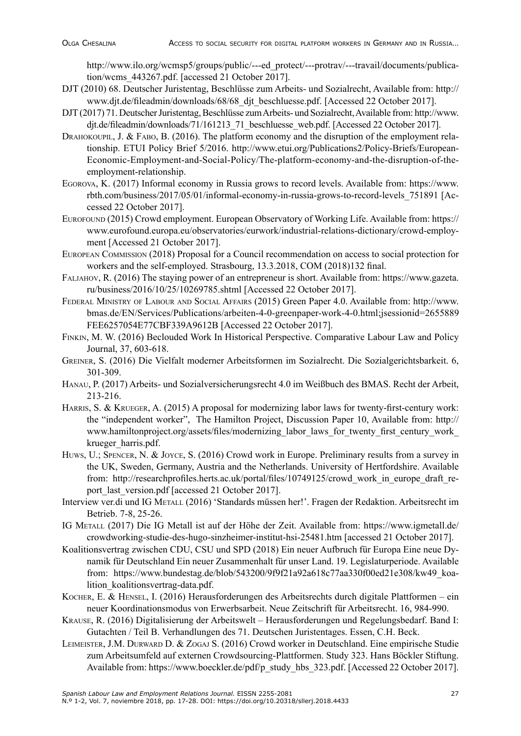http://www.ilo.org/wcmsp5/groups/public/---ed\_protect/---protrav/---travail/documents/publication/wcms\_443267.pdf. [accessed 21 October 2017].

- DJT (2010) 68. Deutscher Juristentag, Beschlüsse zum Arbeits- und Sozialrecht, Available from: http:// www.djt.de/fileadmin/downloads/68/68\_djt\_beschluesse.pdf. [Accessed 22 October 2017].
- DJT (2017) 71. Deutscher Juristentag, Beschlüsse zum Arbeits- und Sozialrecht, Available from: http://www. djt.de/fileadmin/downloads/71/161213\_71\_beschluesse\_web.pdf. [Accessed 22 October 2017].
- DRAHOKOUPIL, J. & FABO, B. (2016). The platform economy and the disruption of the employment relationship. ETUI Policy Brief 5/2016. http://www.etui.org/Publications2/Policy-Briefs/European-Economic-Employment-and-Social-Policy/The-platform-economy-and-the-disruption-of-theemployment-relationship.
- Egorova, K. (2017) Informal economy in Russia grows to record levels. Available from: https://www. rbth.com/business/2017/05/01/informal-economy-in-russia-grows-to-record-levels\_751891 [Accessed 22 October 2017].
- Eurofound (2015) Crowd employment. European Observatory of Working Life. Available from: https:// www.eurofound.europa.eu/observatories/eurwork/industrial-relations-dictionary/crowd-employment [Accessed 21 October 2017].
- European Commission (2018) Proposal for a Council recommendation on access to social protection for workers and the self-employed. Strasbourg, 13.3.2018, COM (2018)132 final.
- Faljahov, R. (2016) The staying power of an entrepreneur is short. Available from: https://www.gazeta. ru/business/2016/10/25/10269785.shtml [Accessed 22 October 2017].
- Federal Ministry of Labour and Social Affairs (2015) Green Paper 4.0. Available from: http://www. bmas.de/EN/Services/Publications/arbeiten-4-0-greenpaper-work-4-0.html;jsessionid=2655889 FEE6257054E77CBF339A9612B [Accessed 22 October 2017].
- Finkin, M. W. (2016) Beclouded Work In Historical Perspective. Comparative Labour Law and Policy Journal, 37, 603-618.
- Greiner, S. (2016) Die Vielfalt moderner Arbeitsformen im Sozialrecht. Die Sozialgerichtsbarkeit. 6, 301-309.
- Hanau, P. (2017) Arbeits- und Sozialversicherungsrecht 4.0 im Weißbuch des BMAS. Recht der Arbeit, 213-216.
- HARRIS, S. & KRUEGER, A. (2015) A proposal for modernizing labor laws for twenty-first-century work: the "independent worker", The Hamilton Project, Discussion Paper 10, Available from: http:// www.hamiltonproject.org/assets/files/modernizing\_labor\_laws\_for\_twenty\_first\_century\_work krueger\_harris.pdf.
- Huws, U.; Spencer, N. & Joyce, S. (2016) Crowd work in Europe. Preliminary results from a survey in the UK, Sweden, Germany, Austria and the Netherlands. University of Hertfordshire. Available from: http://researchprofiles.herts.ac.uk/portal/files/10749125/crowd\_work\_in\_europe\_draft\_report\_last\_version.pdf [accessed 21 October 2017].
- Interview ver.di und IG METALL (2016) 'Standards müssen her!'. Fragen der Redaktion. Arbeitsrecht im Betrieb. 7-8, 25-26.
- IG Metall (2017) Die IG Metall ist auf der Höhe der Zeit. Available from: https://www.igmetall.de/ crowdworking-studie-des-hugo-sinzheimer-institut-hsi-25481.htm [accessed 21 October 2017].
- Koalitionsvertrag zwischen CDU, CSU und SPD (2018) Ein neuer Aufbruch für Europa Eine neue Dynamik für Deutschland Ein neuer Zusammenhalt für unser Land. 19. Legislaturperiode. Available from: https://www.bundestag.de/blob/543200/9f9f21a92a618c77aa330f00ed21e308/kw49\_koalition\_koalitionsvertrag-data.pdf.
- Kocher, E. & Hensel, I. (2016) Herausforderungen des Arbeitsrechts durch digitale Plattformen ein neuer Koordinationsmodus von Erwerbsarbeit. Neue Zeitschrift für Arbeitsrecht. 16, 984-990.
- Krause, R. (2016) Digitalisierung der Arbeitswelt Herausforderungen und Regelungsbedarf. Band I: Gutachten / Teil B. Verhandlungen des 71. Deutschen Juristentages. Essen, C.H. Beck.
- Leimeister, J.M. Durward D. & Zogaj S. (2016) Crowd worker in Deutschland. Eine empirische Studie zum Arbeitsumfeld auf externen Crowdsourcing-Plattformen. Study 323. Hans Böckler Stiftung. Available from: https://www.boeckler.de/pdf/p\_study\_hbs\_323.pdf. [Accessed 22 October 2017].